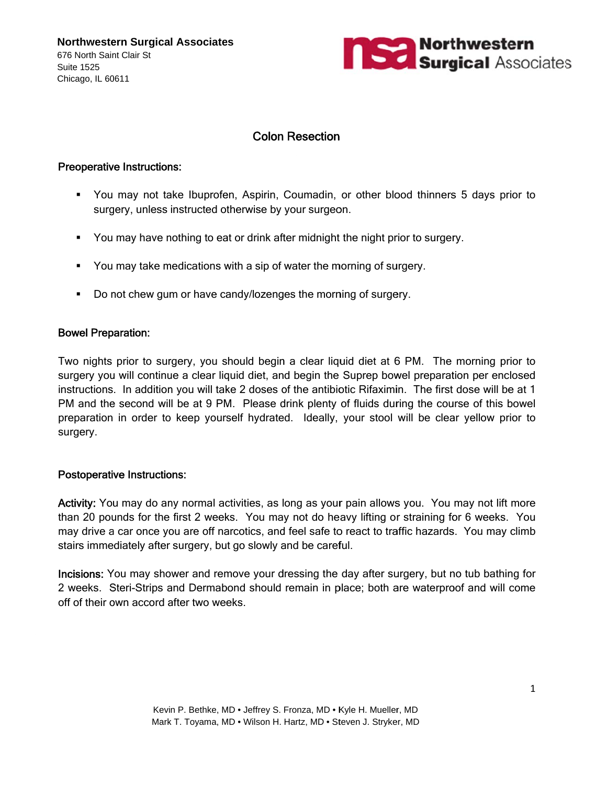**Northwestern Surgical Associates** 676 North Saint Clair St **Suite 1525** Chicago. IL 60611



## **Colon Resection**

#### **Preoperative Instructions:**

- " You may not take Ibuprofen, Aspirin, Coumadin, or other blood thinners 5 days prior to surgery, unless instructed otherwise by your surgeon.
- You may have nothing to eat or drink after midnight the night prior to surgery.
- You may take medications with a sip of water the morning of surgery.
- Do not chew gum or have candy/lozenges the morning of surgery.

#### **Bowel Preparation:**

Two nights prior to surgery, you should begin a clear liquid diet at 6 PM. The morning prior to surgery you will continue a clear liquid diet, and begin the Suprep bowel preparation per enclosed instructions. In addition you will take 2 doses of the antibiotic Rifaximin. The first dose will be at 1 PM and the second will be at 9 PM. Please drink plenty of fluids during the course of this bowel preparation in order to keep yourself hydrated. Ideally, your stool will be clear yellow prior to surgery.

### **Postoperative Instructions:**

Activity: You may do any normal activities, as long as your pain allows you. You may not lift more than 20 pounds for the first 2 weeks. You may not do heavy lifting or straining for 6 weeks. You may drive a car once you are off narcotics, and feel safe to react to traffic hazards. You may climb stairs immediately after surgery, but go slowly and be careful.

Incisions: You may shower and remove your dressing the day after surgery, but no tub bathing for 2 weeks. Steri-Strips and Dermabond should remain in place; both are waterproof and will come off of their own accord after two weeks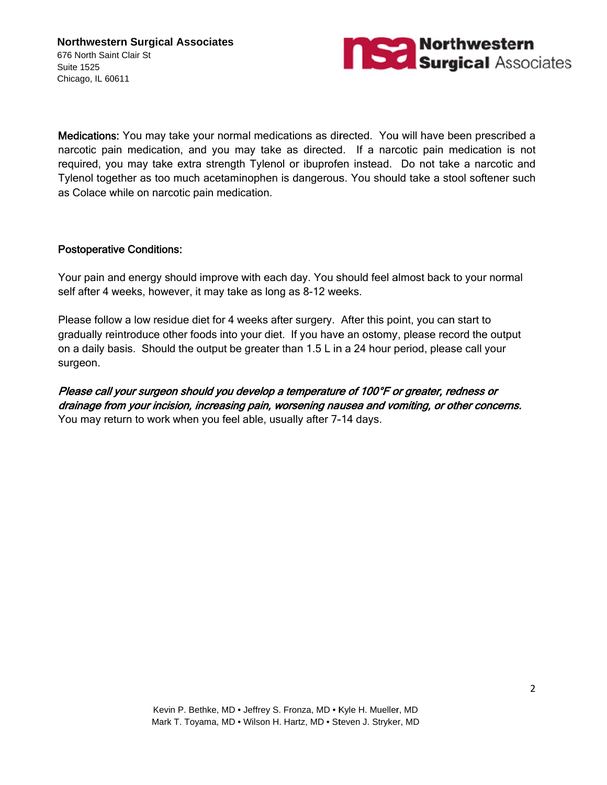

Medications: You may take your normal medications as directed. You will have been prescribed a narcotic pain medication, and you may take as directed. If a narcotic pain medication is not required, you may take extra strength Tylenol or ibuprofen instead. Do not take a narcotic and Tylenol together as too much acetaminophen is dangerous. You should take a stool softener such as Colace while on narcotic pain medication.

### **Postoperative Conditions:**

Your pain and energy should improve with each day. You should feel almost back to your normal self after 4 weeks, however, it may take as long as 8-12 weeks.

Please follow a low residue diet for 4 weeks after surgery. After this point, you can start to gradually reintroduce other foods into your diet. If you have an ostomy, please record the output on a daily basis. Should the output be greater than 1.5 L in a 24 hour period, please call your surgeon.

Please call your surgeon should you develop a temperature of 100°F or greater, redness or drainage from your incision, increasing pain, worsening nausea and vomiting, or other concerns. You may return to work when you feel able, usually after 7-14 days.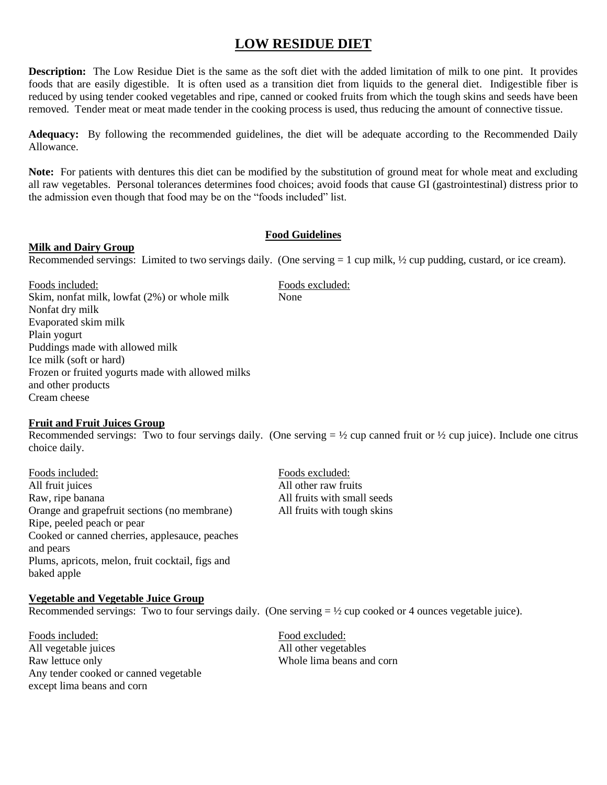# **LOW RESIDUE DIET**

**Description:** The Low Residue Diet is the same as the soft diet with the added limitation of milk to one pint. It provides foods that are easily digestible. It is often used as a transition diet from liquids to the general diet. Indigestible fiber is reduced by using tender cooked vegetables and ripe, canned or cooked fruits from which the tough skins and seeds have been removed. Tender meat or meat made tender in the cooking process is used, thus reducing the amount of connective tissue.

**Adequacy:** By following the recommended guidelines, the diet will be adequate according to the Recommended Daily Allowance.

**Note:** For patients with dentures this diet can be modified by the substitution of ground meat for whole meat and excluding all raw vegetables. Personal tolerances determines food choices; avoid foods that cause GI (gastrointestinal) distress prior to the admission even though that food may be on the "foods included" list.

#### **Food Guidelines**

#### **Milk and Dairy Group**

Recommended servings: Limited to two servings daily. (One serving  $= 1$  cup milk,  $\frac{1}{2}$  cup pudding, custard, or ice cream).

Foods included: Foods excluded: Skim, nonfat milk, lowfat (2%) or whole milk None Nonfat dry milk Evaporated skim milk Plain yogurt Puddings made with allowed milk Ice milk (soft or hard) Frozen or fruited yogurts made with allowed milks and other products Cream cheese

#### **Fruit and Fruit Juices Group**

Recommended servings: Two to four servings daily. (One serving  $= \frac{1}{2}$  cup canned fruit or  $\frac{1}{2}$  cup juice). Include one citrus choice daily.

Foods included: Foods excluded: All fruit juices All other raw fruits Raw, ripe banana and the state of the state of the All fruits with small seeds Orange and grapefruit sections (no membrane) All fruits with tough skins Ripe, peeled peach or pear Cooked or canned cherries, applesauce, peaches and pears Plums, apricots, melon, fruit cocktail, figs and baked apple

#### **Vegetable and Vegetable Juice Group**

Recommended servings: Two to four servings daily. (One serving  $= \frac{1}{2}$  cup cooked or 4 ounces vegetable juice).

Foods included: Food excluded: All vegetable juices and all other vegetables Raw lettuce only Whole lima beans and corn Any tender cooked or canned vegetable except lima beans and corn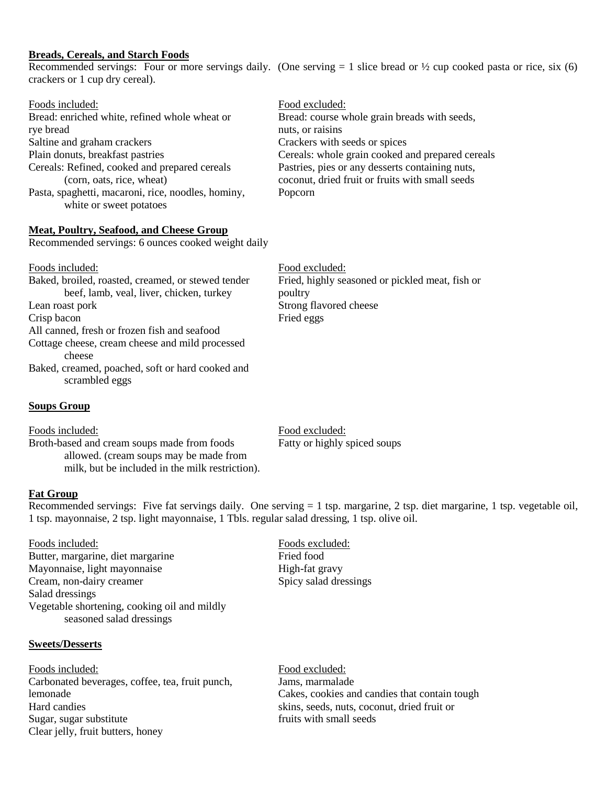#### **Breads, Cereals, and Starch Foods**

Recommended servings: Four or more servings daily. (One serving  $= 1$  slice bread or  $\frac{1}{2}$  cup cooked pasta or rice, six (6) crackers or 1 cup dry cereal).

| Foods included:                                    | Food excluded:                                   |
|----------------------------------------------------|--------------------------------------------------|
| Bread: enriched white, refined whole wheat or      | Bread: course whole grain breads with seeds,     |
| rye bread                                          | nuts, or raisins                                 |
| Saltine and graham crackers                        | Crackers with seeds or spices                    |
| Plain donuts, breakfast pastries                   | Cereals: whole grain cooked and prepared cereals |
| Cereals: Refined, cooked and prepared cereals      | Pastries, pies or any desserts containing nuts,  |
| (corn, oats, rice, wheat)                          | coconut, dried fruit or fruits with small seeds  |
| Pasta, spaghetti, macaroni, rice, noodles, hominy, | Popcorn                                          |
| white or sweet potatoes                            |                                                  |

#### **Meat, Poultry, Seafood, and Cheese Group**

Recommended servings: 6 ounces cooked weight daily

| Foods included:                                                    | Food excluded:                                  |
|--------------------------------------------------------------------|-------------------------------------------------|
| Baked, broiled, roasted, creamed, or stewed tender                 | Fried, highly seasoned or pickled meat, fish or |
| beef, lamb, veal, liver, chicken, turkey                           | poultry                                         |
| Lean roast pork                                                    | Strong flavored cheese                          |
| Crisp bacon                                                        | Fried eggs                                      |
| All canned, fresh or frozen fish and seafood                       |                                                 |
| Cottage cheese, cream cheese and mild processed                    |                                                 |
| cheese                                                             |                                                 |
| Baked, creamed, poached, soft or hard cooked and<br>scrambled eggs |                                                 |

#### **Soups Group**

Foods included: Food excluded: Broth-based and cream soups made from foods Fatty or highly spiced soups allowed. (cream soups may be made from milk, but be included in the milk restriction).

#### **Fat Group**

Recommended servings: Five fat servings daily. One serving  $= 1$  tsp. margarine, 2 tsp. diet margarine, 1 tsp. vegetable oil, 1 tsp. mayonnaise, 2 tsp. light mayonnaise, 1 Tbls. regular salad dressing, 1 tsp. olive oil.

Foods included: Foods excluded: Butter, margarine, diet margarine Fried food Mayonnaise, light mayonnaise High-fat gravy Cream, non-dairy creamer Spicy salad dressings Salad dressings Vegetable shortening, cooking oil and mildly seasoned salad dressings

#### **Sweets/Desserts**

Foods included: Food excluded: Carbonated beverages, coffee, tea, fruit punch, Jams, marmalade lemonade Cakes, cookies and candies that contain tough Hard candies skins, seeds, nuts, coconut, dried fruit or Sugar, sugar substitute fruits with small seeds Clear jelly, fruit butters, honey